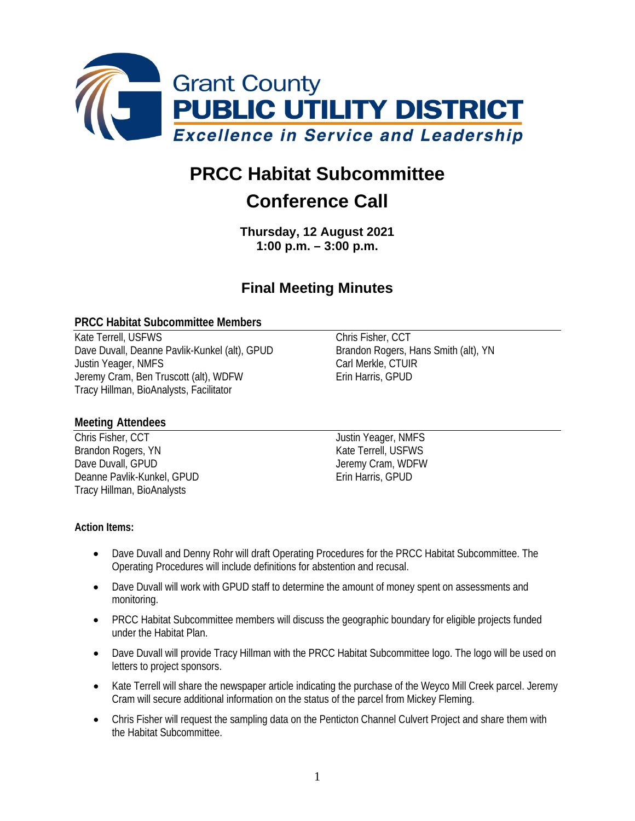

# **PRCC Habitat Subcommittee**

## **Conference Call**

**Thursday, 12 August 2021 1:00 p.m. – 3:00 p.m.**

### **Final Meeting Minutes**

#### **PRCC Habitat Subcommittee Members**

Kate Terrell, USFWS Chris Fisher, CCT Dave Duvall, Deanne Pavlik-Kunkel (alt), GPUD Brandon Rogers, Hans Smith (alt), YN Justin Yeager, NMFS<br>Jeremy Cram, Ben Truscott (alt), WDFW<br>Crin Harris, GPUD Jeremy Cram, Ben Truscott (alt), WDFW Tracy Hillman, BioAnalysts, Facilitator

#### **Meeting Attendees**

Chris Fisher, CCT and Tustin Yeager, NMFS Brandon Rogers, YN Kate Terrell, USFWS<br>
Dave Duvall. GPUD<br>
Oave Duvall. GPUD Deanne Pavlik-Kunkel, GPUD Erin Harris, GPUD Tracy Hillman, BioAnalysts

Jeremy Cram, WDFW

#### **Action Items:**

- Dave Duvall and Denny Rohr will draft Operating Procedures for the PRCC Habitat Subcommittee. The Operating Procedures will include definitions for abstention and recusal.
- Dave Duvall will work with GPUD staff to determine the amount of money spent on assessments and monitoring.
- PRCC Habitat Subcommittee members will discuss the geographic boundary for eligible projects funded under the Habitat Plan.
- Dave Duvall will provide Tracy Hillman with the PRCC Habitat Subcommittee logo. The logo will be used on letters to project sponsors.
- Kate Terrell will share the newspaper article indicating the purchase of the Weyco Mill Creek parcel. Jeremy Cram will secure additional information on the status of the parcel from Mickey Fleming.
- Chris Fisher will request the sampling data on the Penticton Channel Culvert Project and share them with the Habitat Subcommittee.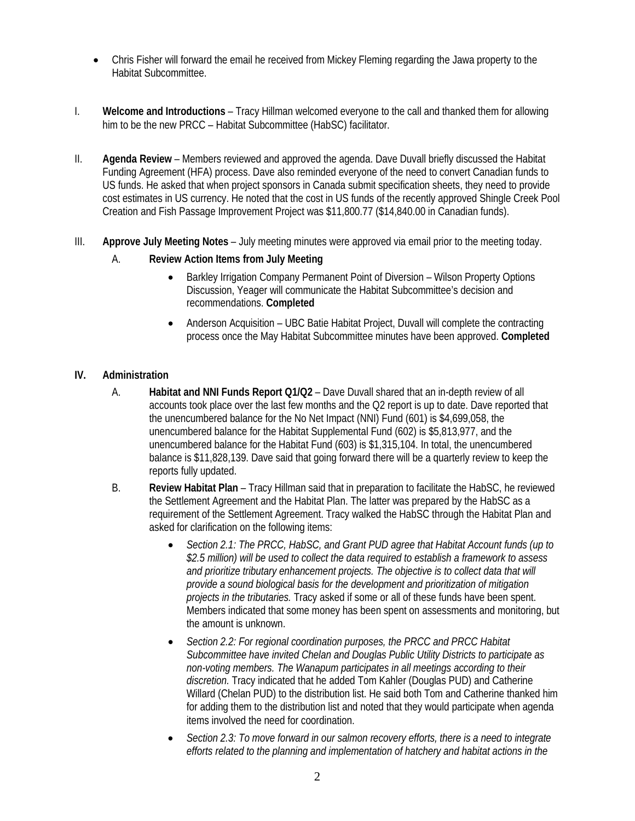- Chris Fisher will forward the email he received from Mickey Fleming regarding the Jawa property to the Habitat Subcommittee.
- I. **Welcome and Introductions** Tracy Hillman welcomed everyone to the call and thanked them for allowing him to be the new PRCC – Habitat Subcommittee (HabSC) facilitator.
- II. **Agenda Review** Members reviewed and approved the agenda. Dave Duvall briefly discussed the Habitat Funding Agreement (HFA) process. Dave also reminded everyone of the need to convert Canadian funds to US funds. He asked that when project sponsors in Canada submit specification sheets, they need to provide cost estimates in US currency. He noted that the cost in US funds of the recently approved Shingle Creek Pool Creation and Fish Passage Improvement Project was \$11,800.77 (\$14,840.00 in Canadian funds).
- III. **Approve July Meeting Notes** July meeting minutes were approved via email prior to the meeting today.
	- A. **Review Action Items from July Meeting** 
		- Barkley Irrigation Company Permanent Point of Diversion Wilson Property Options Discussion, Yeager will communicate the Habitat Subcommittee's decision and recommendations. **Completed**
		- Anderson Acquisition UBC Batie Habitat Project, Duvall will complete the contracting process once the May Habitat Subcommittee minutes have been approved. **Completed**

#### **IV. Administration**

- A. **Habitat and NNI Funds Report Q1/Q2** Dave Duvall shared that an in-depth review of all accounts took place over the last few months and the Q2 report is up to date. Dave reported that the unencumbered balance for the No Net Impact (NNI) Fund (601) is \$4,699,058, the unencumbered balance for the Habitat Supplemental Fund (602) is \$5,813,977, and the unencumbered balance for the Habitat Fund (603) is \$1,315,104. In total, the unencumbered balance is \$11,828,139. Dave said that going forward there will be a quarterly review to keep the reports fully updated.
- B. **Review Habitat Plan** Tracy Hillman said that in preparation to facilitate the HabSC, he reviewed the Settlement Agreement and the Habitat Plan. The latter was prepared by the HabSC as a requirement of the Settlement Agreement. Tracy walked the HabSC through the Habitat Plan and asked for clarification on the following items:
	- *Section 2.1: The PRCC, HabSC, and Grant PUD agree that Habitat Account funds (up to \$2.5 million) will be used to collect the data required to establish a framework to assess and prioritize tributary enhancement projects. The objective is to collect data that will provide a sound biological basis for the development and prioritization of mitigation projects in the tributaries.* Tracy asked if some or all of these funds have been spent. Members indicated that some money has been spent on assessments and monitoring, but the amount is unknown.
	- *Section 2.2: For regional coordination purposes, the PRCC and PRCC Habitat Subcommittee have invited Chelan and Douglas Public Utility Districts to participate as non-voting members. The Wanapum participates in all meetings according to their discretion.* Tracy indicated that he added Tom Kahler (Douglas PUD) and Catherine Willard (Chelan PUD) to the distribution list. He said both Tom and Catherine thanked him for adding them to the distribution list and noted that they would participate when agenda items involved the need for coordination.
	- *Section 2.3: To move forward in our salmon recovery efforts, there is a need to integrate efforts related to the planning and implementation of hatchery and habitat actions in the*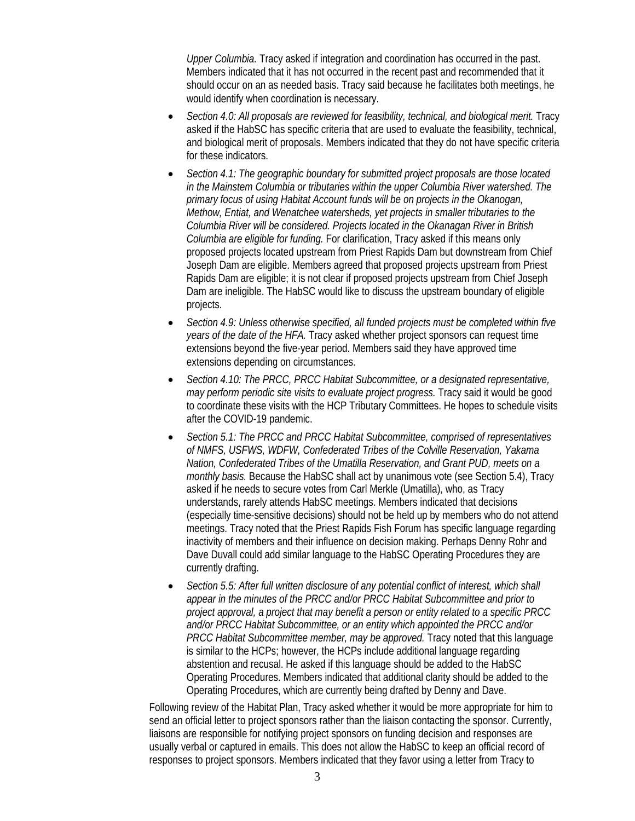*Upper Columbia.* Tracy asked if integration and coordination has occurred in the past. Members indicated that it has not occurred in the recent past and recommended that it should occur on an as needed basis. Tracy said because he facilitates both meetings, he would identify when coordination is necessary.

- *Section 4.0: All proposals are reviewed for feasibility, technical, and biological merit.* Tracy asked if the HabSC has specific criteria that are used to evaluate the feasibility, technical, and biological merit of proposals. Members indicated that they do not have specific criteria for these indicators.
- *Section 4.1: The geographic boundary for submitted project proposals are those located in the Mainstem Columbia or tributaries within the upper Columbia River watershed. The primary focus of using Habitat Account funds will be on projects in the Okanogan, Methow, Entiat, and Wenatchee watersheds, yet projects in smaller tributaries to the Columbia River will be considered. Projects located in the Okanagan River in British Columbia are eligible for funding.* For clarification, Tracy asked if this means only proposed projects located upstream from Priest Rapids Dam but downstream from Chief Joseph Dam are eligible. Members agreed that proposed projects upstream from Priest Rapids Dam are eligible; it is not clear if proposed projects upstream from Chief Joseph Dam are ineligible. The HabSC would like to discuss the upstream boundary of eligible projects.
- *Section 4.9: Unless otherwise specified, all funded projects must be completed within five years of the date of the HFA.* Tracy asked whether project sponsors can request time extensions beyond the five-year period. Members said they have approved time extensions depending on circumstances.
- *Section 4.10: The PRCC, PRCC Habitat Subcommittee, or a designated representative, may perform periodic site visits to evaluate project progress.* Tracy said it would be good to coordinate these visits with the HCP Tributary Committees. He hopes to schedule visits after the COVID-19 pandemic.
- *Section 5.1: The PRCC and PRCC Habitat Subcommittee, comprised of representatives of NMFS, USFWS, WDFW, Confederated Tribes of the Colville Reservation, Yakama Nation, Confederated Tribes of the Umatilla Reservation, and Grant PUD, meets on a monthly basis.* Because the HabSC shall act by unanimous vote (see Section 5.4), Tracy asked if he needs to secure votes from Carl Merkle (Umatilla), who, as Tracy understands, rarely attends HabSC meetings. Members indicated that decisions (especially time-sensitive decisions) should not be held up by members who do not attend meetings. Tracy noted that the Priest Rapids Fish Forum has specific language regarding inactivity of members and their influence on decision making. Perhaps Denny Rohr and Dave Duvall could add similar language to the HabSC Operating Procedures they are currently drafting.
- *Section 5.5: After full written disclosure of any potential conflict of interest, which shall appear in the minutes of the PRCC and/or PRCC Habitat Subcommittee and prior to project approval, a project that may benefit a person or entity related to a specific PRCC and/or PRCC Habitat Subcommittee, or an entity which appointed the PRCC and/or PRCC Habitat Subcommittee member, may be approved.* Tracy noted that this language is similar to the HCPs; however, the HCPs include additional language regarding abstention and recusal. He asked if this language should be added to the HabSC Operating Procedures. Members indicated that additional clarity should be added to the Operating Procedures, which are currently being drafted by Denny and Dave.

Following review of the Habitat Plan, Tracy asked whether it would be more appropriate for him to send an official letter to project sponsors rather than the liaison contacting the sponsor. Currently, liaisons are responsible for notifying project sponsors on funding decision and responses are usually verbal or captured in emails. This does not allow the HabSC to keep an official record of responses to project sponsors. Members indicated that they favor using a letter from Tracy to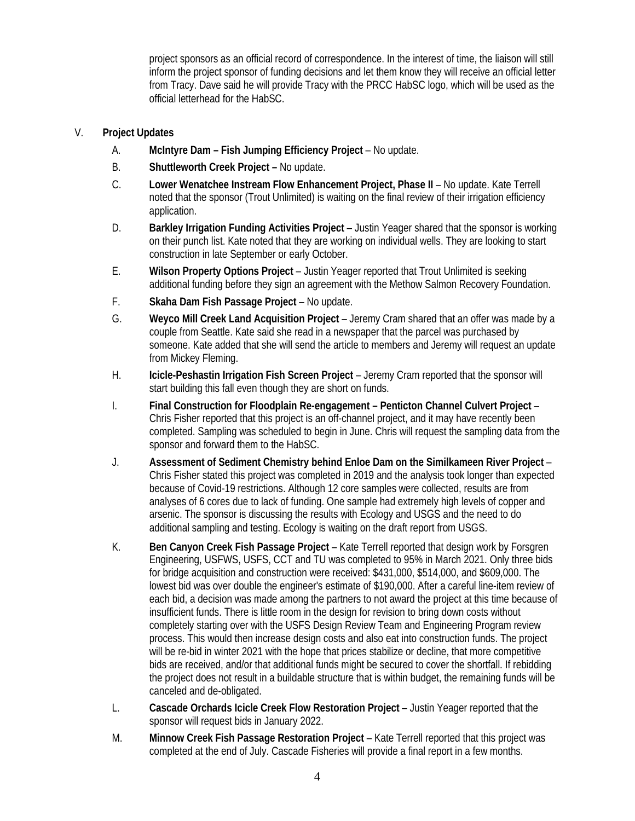project sponsors as an official record of correspondence. In the interest of time, the liaison will still inform the project sponsor of funding decisions and let them know they will receive an official letter from Tracy. Dave said he will provide Tracy with the PRCC HabSC logo, which will be used as the official letterhead for the HabSC.

#### V. **Project Updates**

- A. **McIntyre Dam – Fish Jumping Efficiency Project** No update.
- B. **Shuttleworth Creek Project –** No update.
- C. **Lower Wenatchee Instream Flow Enhancement Project, Phase II** No update. Kate Terrell noted that the sponsor (Trout Unlimited) is waiting on the final review of their irrigation efficiency application.
- D. **Barkley Irrigation Funding Activities Project** Justin Yeager shared that the sponsor is working on their punch list. Kate noted that they are working on individual wells. They are looking to start construction in late September or early October.
- E. **Wilson Property Options Project** Justin Yeager reported that Trout Unlimited is seeking additional funding before they sign an agreement with the Methow Salmon Recovery Foundation.
- F. **Skaha Dam Fish Passage Project** No update.
- G. **Weyco Mill Creek Land Acquisition Project** Jeremy Cram shared that an offer was made by a couple from Seattle. Kate said she read in a newspaper that the parcel was purchased by someone. Kate added that she will send the article to members and Jeremy will request an update from Mickey Fleming.
- H. **Icicle-Peshastin Irrigation Fish Screen Project** Jeremy Cram reported that the sponsor will start building this fall even though they are short on funds.
- I. **Final Construction for Floodplain Re-engagement – Penticton Channel Culvert Project** Chris Fisher reported that this project is an off-channel project, and it may have recently been completed. Sampling was scheduled to begin in June. Chris will request the sampling data from the sponsor and forward them to the HabSC.
- J. **Assessment of Sediment Chemistry behind Enloe Dam on the Similkameen River Project** Chris Fisher stated this project was completed in 2019 and the analysis took longer than expected because of Covid-19 restrictions. Although 12 core samples were collected, results are from analyses of 6 cores due to lack of funding. One sample had extremely high levels of copper and arsenic. The sponsor is discussing the results with Ecology and USGS and the need to do additional sampling and testing. Ecology is waiting on the draft report from USGS.
- K. **Ben Canyon Creek Fish Passage Project** Kate Terrell reported that design work by Forsgren Engineering, USFWS, USFS, CCT and TU was completed to 95% in March 2021. Only three bids for bridge acquisition and construction were received: \$431,000, \$514,000, and \$609,000. The lowest bid was over double the engineer's estimate of \$190,000. After a careful line-item review of each bid, a decision was made among the partners to not award the project at this time because of insufficient funds. There is little room in the design for revision to bring down costs without completely starting over with the USFS Design Review Team and Engineering Program review process. This would then increase design costs and also eat into construction funds. The project will be re-bid in winter 2021 with the hope that prices stabilize or decline, that more competitive bids are received, and/or that additional funds might be secured to cover the shortfall. If rebidding the project does not result in a buildable structure that is within budget, the remaining funds will be canceled and de-obligated.
- L. **Cascade Orchards Icicle Creek Flow Restoration Project** Justin Yeager reported that the sponsor will request bids in January 2022.
- M. **Minnow Creek Fish Passage Restoration Project** Kate Terrell reported that this project was completed at the end of July. Cascade Fisheries will provide a final report in a few months.